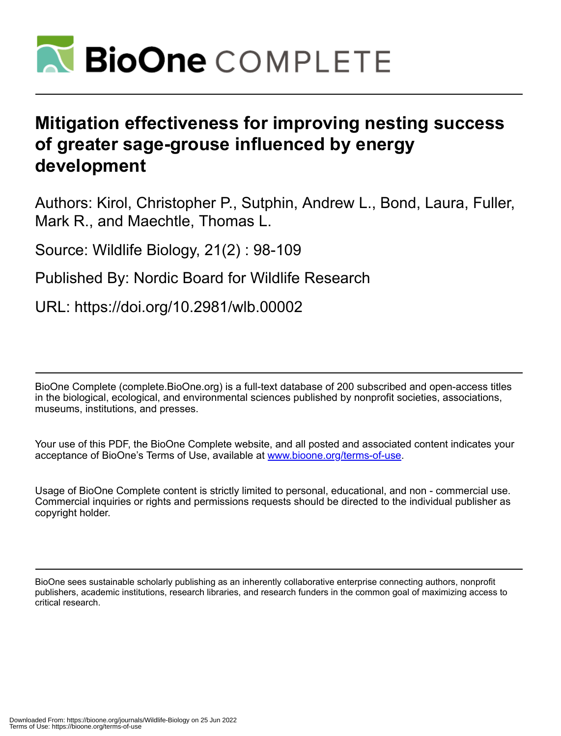

# **Mitigation effectiveness for improving nesting success of greater sage-grouse influenced by energy development**

Authors: Kirol, Christopher P., Sutphin, Andrew L., Bond, Laura, Fuller, Mark R., and Maechtle, Thomas L.

Source: Wildlife Biology, 21(2) : 98-109

Published By: Nordic Board for Wildlife Research

URL: https://doi.org/10.2981/wlb.00002

BioOne Complete (complete.BioOne.org) is a full-text database of 200 subscribed and open-access titles in the biological, ecological, and environmental sciences published by nonprofit societies, associations, museums, institutions, and presses.

Your use of this PDF, the BioOne Complete website, and all posted and associated content indicates your acceptance of BioOne's Terms of Use, available at www.bioone.org/terms-of-use.

Usage of BioOne Complete content is strictly limited to personal, educational, and non - commercial use. Commercial inquiries or rights and permissions requests should be directed to the individual publisher as copyright holder.

BioOne sees sustainable scholarly publishing as an inherently collaborative enterprise connecting authors, nonprofit publishers, academic institutions, research libraries, and research funders in the common goal of maximizing access to critical research.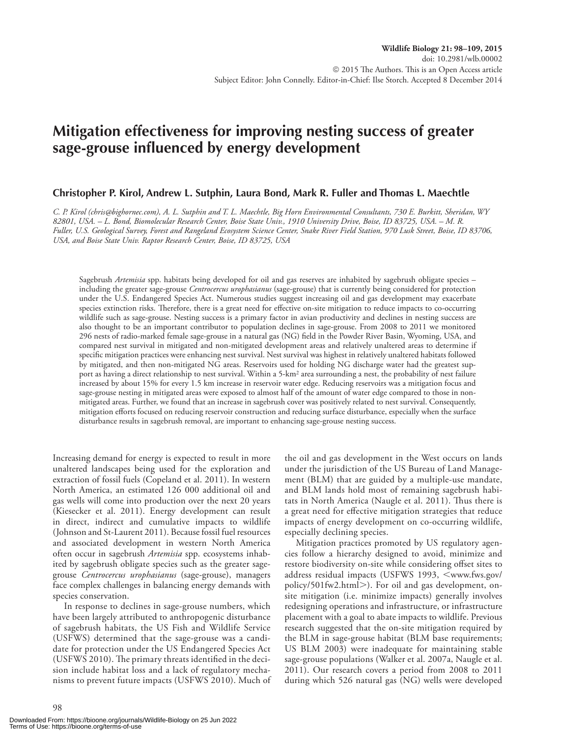# **Mitigation effectiveness for improving nesting success of greater**  sage-grouse influenced by energy development

#### **Christopher P. Kirol, Andrew L. Sutphin, Laura Bond, Mark R. Fuller and Thomas L. Maechtle**

 *C. P. Kirol (chris@bighornec.com), A. L. Sutphin and T. L. Maechtle, Big Horn Environmental Consultants, 730 E. Burkitt, Sheridan, WY 82801, USA. – L. Bond, Biomolecular Research Center, Boise State Univ., 1910 University Drive, Boise, ID 83725, USA. – M. R. Fuller, U.S. Geological Survey, Forest and Rangeland Ecosystem Science Center, Snake River Field Station, 970 Lusk Street, Boise, ID 83706, USA, and Boise State Univ. Raptor Research Center, Boise, ID 83725, USA* 

 Sagebrush *Artemisia* spp. habitats being developed for oil and gas reserves are inhabited by sagebrush obligate species – including the greater sage-grouse *Centrocercus urophasianus* (sage-grouse) that is currently being considered for protection under the U.S. Endangered Species Act. Numerous studies suggest increasing oil and gas development may exacerbate species extinction risks. Therefore, there is a great need for effective on-site mitigation to reduce impacts to co-occurring wildlife such as sage-grouse. Nesting success is a primary factor in avian productivity and declines in nesting success are also thought to be an important contributor to population declines in sage-grouse. From 2008 to 2011 we monitored 296 nests of radio-marked female sage-grouse in a natural gas (NG) field in the Powder River Basin, Wyoming, USA, and compared nest survival in mitigated and non-mitigated development areas and relatively unaltered areas to determine if specific mitigation practices were enhancing nest survival. Nest survival was highest in relatively unaltered habitats followed by mitigated, and then non-mitigated NG areas. Reservoirs used for holding NG discharge water had the greatest support as having a direct relationship to nest survival. Within a 5-km<sup>2</sup> area surrounding a nest, the probability of nest failure increased by about 15% for every 1.5 km increase in reservoir water edge. Reducing reservoirs was a mitigation focus and sage-grouse nesting in mitigated areas were exposed to almost half of the amount of water edge compared to those in nonmitigated areas. Further, we found that an increase in sagebrush cover was positively related to nest survival. Consequently, mitigation efforts focused on reducing reservoir construction and reducing surface disturbance, especially when the surface disturbance results in sagebrush removal, are important to enhancing sage-grouse nesting success.

 Increasing demand for energy is expected to result in more unaltered landscapes being used for the exploration and extraction of fossil fuels (Copeland et al. 2011). In western North America, an estimated 126 000 additional oil and gas wells will come into production over the next 20 years (Kiesecker et al. 2011). Energy development can result in direct, indirect and cumulative impacts to wildlife (Johnson and St-Laurent 2011). Because fossil fuel resources and associated development in western North America often occur in sagebrush *Artemisia* spp. ecosystems inhabited by sagebrush obligate species such as the greater sagegrouse *Centrocercus urophasianus* (sage-grouse), managers face complex challenges in balancing energy demands with species conservation.

 In response to declines in sage-grouse numbers, which have been largely attributed to anthropogenic disturbance of sagebrush habitats, the US Fish and Wildlife Service (USFWS) determined that the sage-grouse was a candidate for protection under the US Endangered Species Act (USFWS 2010). The primary threats identified in the decision include habitat loss and a lack of regulatory mechanisms to prevent future impacts (USFWS 2010). Much of the oil and gas development in the West occurs on lands under the jurisdiction of the US Bureau of Land Management (BLM) that are guided by a multiple-use mandate, and BLM lands hold most of remaining sagebrush habitats in North America (Naugle et al. 2011). Thus there is a great need for effective mitigation strategies that reduce impacts of energy development on co-occurring wildlife, especially declining species.

 Mitigation practices promoted by US regulatory agencies follow a hierarchy designed to avoid, minimize and restore biodiversity on-site while considering offset sites to address residual impacts (USFWS 1993, <www.fws.gov/ policy/501fw2.html>). For oil and gas development, onsite mitigation (i.e. minimize impacts) generally involves redesigning operations and infrastructure, or infrastructure placement with a goal to abate impacts to wildlife. Previous research suggested that the on-site mitigation required by the BLM in sage-grouse habitat (BLM base requirements; US BLM 2003) were inadequate for maintaining stable sage-grouse populations (Walker et al. 2007a, Naugle et al. 2011). Our research covers a period from 2008 to 2011 during which 526 natural gas (NG) wells were developed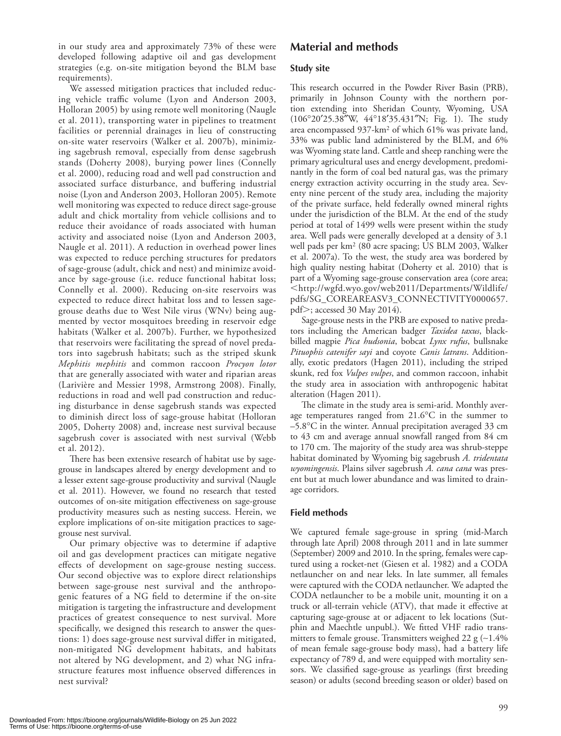in our study area and approximately 73% of these were developed following adaptive oil and gas development strategies (e.g. on-site mitigation beyond the BLM base requirements).

 We assessed mitigation practices that included reducing vehicle traffic volume (Lyon and Anderson 2003, Holloran 2005) by using remote well monitoring (Naugle et al. 2011), transporting water in pipelines to treatment facilities or perennial drainages in lieu of constructing on-site water reservoirs (Walker et al. 2007b), minimizing sagebrush removal, especially from dense sagebrush stands (Doherty 2008), burying power lines (Connelly et al. 2000), reducing road and well pad construction and associated surface disturbance, and buffering industrial noise (Lyon and Anderson 2003, Holloran 2005). Remote well monitoring was expected to reduce direct sage-grouse adult and chick mortality from vehicle collisions and to reduce their avoidance of roads associated with human activity and associated noise (Lyon and Anderson 2003, Naugle et al. 2011). A reduction in overhead power lines was expected to reduce perching structures for predators of sage-grouse (adult, chick and nest) and minimize avoidance by sage-grouse (i.e. reduce functional habitat loss; Connelly et al. 2000). Reducing on-site reservoirs was expected to reduce direct habitat loss and to lessen sagegrouse deaths due to West Nile virus (WNv) being augmented by vector mosquitoes breeding in reservoir edge habitats (Walker et al. 2007b). Further, we hypothesized that reservoirs were facilitating the spread of novel predators into sagebrush habitats; such as the striped skunk *Mephitis mephitis* and common raccoon *Procyon lotor* that are generally associated with water and riparian areas (Larivière and Messier 1998, Armstrong 2008). Finally, reductions in road and well pad construction and reducing disturbance in dense sagebrush stands was expected to diminish direct loss of sage-grouse habitat (Holloran 2005, Doherty 2008) and, increase nest survival because sagebrush cover is associated with nest survival (Webb et al. 2012).

There has been extensive research of habitat use by sagegrouse in landscapes altered by energy development and to a lesser extent sage-grouse productivity and survival (Naugle et al. 2011). However, we found no research that tested outcomes of on-site mitigation effectiveness on sage-grouse productivity measures such as nesting success. Herein, we explore implications of on-site mitigation practices to sagegrouse nest survival.

 Our primary objective was to determine if adaptive oil and gas development practices can mitigate negative effects of development on sage-grouse nesting success. Our second objective was to explore direct relationships between sage-grouse nest survival and the anthropogenic features of a NG field to determine if the on-site mitigation is targeting the infrastructure and development practices of greatest consequence to nest survival. More specifically, we designed this research to answer the questions: 1) does sage-grouse nest survival differ in mitigated, non-mitigated NG development habitats, and habitats not altered by NG development, and 2) what NG infrastructure features most influence observed differences in nest survival?

# **Material and methods**

#### **Study site**

This research occurred in the Powder River Basin (PRB), primarily in Johnson County with the northern portion extending into Sheridan County, Wyoming, USA (106°20'25.38"W, 44°18'35.431"N; Fig. 1). The study area encompassed 937-km<sup>2</sup> of which 61% was private land, 33% was public land administered by the BLM, and 6% was Wyoming state land. Cattle and sheep ranching were the primary agricultural uses and energy development, predominantly in the form of coal bed natural gas, was the primary energy extraction activity occurring in the study area. Seventy nine percent of the study area, including the majority of the private surface, held federally owned mineral rights under the jurisdiction of the BLM. At the end of the study period at total of 1499 wells were present within the study area. Well pads were generally developed at a density of 3.1 well pads per km<sup>2</sup> (80 acre spacing; US BLM 2003, Walker et al. 2007a). To the west, the study area was bordered by high quality nesting habitat (Doherty et al. 2010) that is part of a Wyoming sage-grouse conservation area (core area; - http://wgfd.wyo.gov/web2011/Departments/Wildlife/ pdfs/SG\_COREAREASV3\_CONNECTIVITY0000657. pdf>; accessed 30 May 2014).

 Sage-grouse nests in the PRB are exposed to native predators including the American badger *Taxidea taxus* , blackbilled magpie *Pica hudsonia* , bobcat *Lynx rufus* , bullsnake *Pituophis catenifer sayi* and coyote *Canis latrans* . Additionally, exotic predators (Hagen 2011), including the striped skunk, red fox *Vulpes vulpes* , and common raccoon, inhabit the study area in association with anthropogenic habitat alteration (Hagen 2011).

The climate in the study area is semi-arid. Monthly average temperatures ranged from  $21.6^{\circ}$ C in the summer to  $-5.8$ °C in the winter. Annual precipitation averaged 33 cm to 43 cm and average annual snowfall ranged from 84 cm to 170 cm. The majority of the study area was shrub-steppe habitat dominated by Wyoming big sagebrush *A. tridentata wyomingensis* . Plains silver sagebrush *A. cana cana* was present but at much lower abundance and was limited to drainage corridors.

#### **Field methods**

 We captured female sage-grouse in spring (mid-March through late April) 2008 through 2011 and in late summer (September) 2009 and 2010. In the spring, females were captured using a rocket-net (Giesen et al. 1982) and a CODA netlauncher on and near leks. In late summer, all females were captured with the CODA netlauncher. We adapted the CODA netlauncher to be a mobile unit, mounting it on a truck or all-terrain vehicle (ATV), that made it effective at capturing sage-grouse at or adjacent to lek locations (Sutphin and Maechtle unpubl.). We fitted VHF radio transmitters to female grouse. Transmitters weighed 22 g (~1.4% of mean female sage-grouse body mass), had a battery life expectancy of 789 d, and were equipped with mortality sensors. We classified sage-grouse as yearlings (first breeding season) or adults (second breeding season or older) based on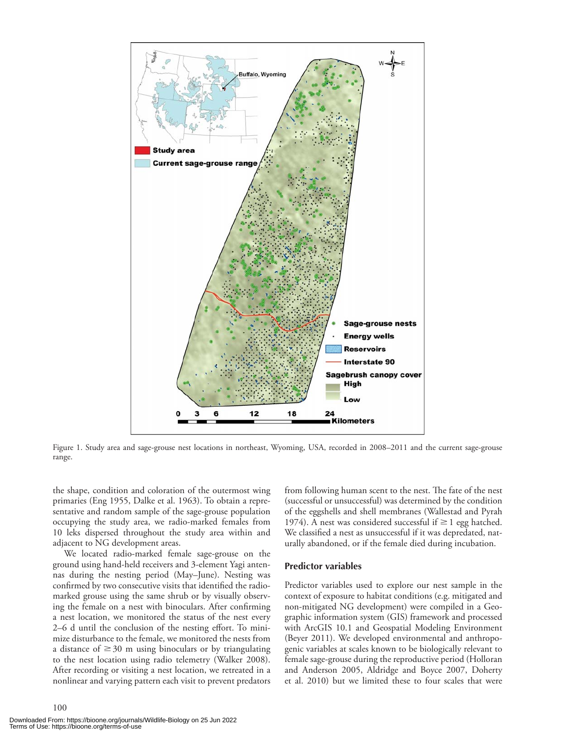

Figure 1. Study area and sage-grouse nest locations in northeast, Wyoming, USA, recorded in 2008-2011 and the current sage-grouse range.

the shape, condition and coloration of the outermost wing primaries (Eng 1955, Dalke et al. 1963). To obtain a representative and random sample of the sage-grouse population occupying the study area, we radio-marked females from 10 leks dispersed throughout the study area within and adjacent to NG development areas.

 We located radio-marked female sage-grouse on the ground using hand-held receivers and 3-element Yagi antennas during the nesting period (May-June). Nesting was confirmed by two consecutive visits that identified the radiomarked grouse using the same shrub or by visually observing the female on a nest with binoculars. After confirming a nest location, we monitored the status of the nest every 2–6 d until the conclusion of the nesting effort. To minimize disturbance to the female, we monitored the nests from a distance of  $\geq$  30 m using binoculars or by triangulating to the nest location using radio telemetry (Walker 2008). After recording or visiting a nest location, we retreated in a nonlinear and varying pattern each visit to prevent predators

Downloaded From: https://bioone.org/journals/Wildlife-Biology on 25 Jun 2022 Terms of Use: https://bioone.org/terms-of-use

100

from following human scent to the nest. The fate of the nest (successful or unsuccessful) was determined by the condition of the eggshells and shell membranes (Wallestad and Pyrah 1974). A nest was considered successful if  $\geq 1$  egg hatched. We classified a nest as unsuccessful if it was depredated, naturally abandoned, or if the female died during incubation.

#### **Predictor variables**

 Predictor variables used to explore our nest sample in the context of exposure to habitat conditions (e.g. mitigated and non-mitigated NG development) were compiled in a Geographic information system (GIS) framework and processed with ArcGIS 10.1 and Geospatial Modeling Environment (Beyer 2011). We developed environmental and anthropogenic variables at scales known to be biologically relevant to female sage-grouse during the reproductive period (Holloran and Anderson 2005, Aldridge and Boyce 2007, Doherty et al. 2010) but we limited these to four scales that were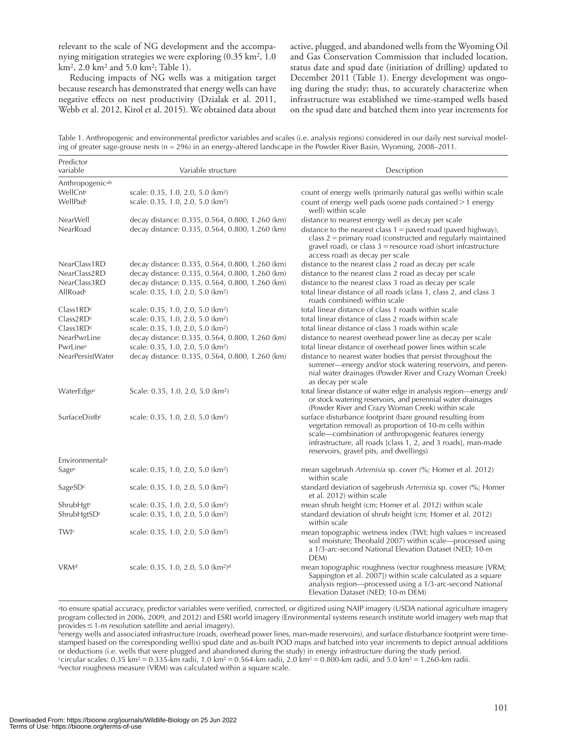relevant to the scale of NG development and the accompanying mitigation strategies we were exploring  $(0.35 \text{ km}^2, 1.0)$ km<sup>2</sup>, 2.0 km<sup>2</sup> and 5.0 km<sup>2</sup>; Table 1).

 Reducing impacts of NG wells was a mitigation target because research has demonstrated that energy wells can have negative effects on nest productivity (Dzialak et al. 2011, Webb et al. 2012, Kirol et al. 2015). We obtained data about active, plugged, and abandoned wells from the Wyoming Oil and Gas Conservation Commission that included location, status date and spud date (initiation of drilling) updated to December 2011 (Table 1). Energy development was ongoing during the study; thus, to accurately characterize when infrastructure was established we time-stamped wells based on the spud date and batched them into year increments for

Table 1. Anthropogenic and environmental predictor variables and scales (i.e. analysis regions) considered in our daily nest survival modeling of greater sage-grouse nests (n = 296) in an energy-altered landscape in the Powder River Basin, Wyoming, 2008–2011.

| Predictor<br>variable       | Variable structure                                         | Description                                                                                                                                                                                                                                                                               |
|-----------------------------|------------------------------------------------------------|-------------------------------------------------------------------------------------------------------------------------------------------------------------------------------------------------------------------------------------------------------------------------------------------|
| Anthropogenic <sup>ab</sup> |                                                            |                                                                                                                                                                                                                                                                                           |
| WellCntc                    | scale: 0.35, 1.0, 2.0, 5.0 (km <sup>2</sup> )              | count of energy wells (primarily natural gas wells) within scale                                                                                                                                                                                                                          |
| WellPadc                    | scale: 0.35, 1.0, 2.0, 5.0 (km <sup>2</sup> )              | count of energy well pads (some pads contained > 1 energy<br>well) within scale                                                                                                                                                                                                           |
| NearWell                    | decay distance: 0.335, 0.564, 0.800, 1.260 (km)            | distance to nearest energy well as decay per scale                                                                                                                                                                                                                                        |
| NearRoad                    | decay distance: 0.335, 0.564, 0.800, 1.260 (km)            | distance to the nearest class $1 =$ paved road (paved highway),<br>$class 2 = primary road (constructed and regularly maintained)$<br>gravel road), or class $3$ = resource road (short infrastructure<br>access road) as decay per scale                                                 |
| NearClass1RD                | decay distance: 0.335, 0.564, 0.800, 1.260 (km)            | distance to the nearest class 2 road as decay per scale                                                                                                                                                                                                                                   |
| NearClass2RD                | decay distance: 0.335, 0.564, 0.800, 1.260 (km)            | distance to the nearest class 2 road as decay per scale                                                                                                                                                                                                                                   |
| NearClass3RD                | decay distance: 0.335, 0.564, 0.800, 1.260 (km)            | distance to the nearest class 3 road as decay per scale                                                                                                                                                                                                                                   |
| AllRoadc                    | scale: 0.35, 1.0, 2.0, 5.0 (km <sup>2</sup> )              | total linear distance of all roads (class 1, class 2, and class 3<br>roads combined) within scale                                                                                                                                                                                         |
| Class1RD <sup>c</sup>       | scale: 0.35, 1.0, 2.0, 5.0 (km <sup>2</sup> )              | total linear distance of class 1 roads within scale                                                                                                                                                                                                                                       |
| Class2RD <sup>c</sup>       | scale: 0.35, 1.0, 2.0, 5.0 (km <sup>2</sup> )              | total linear distance of class 2 roads within scale                                                                                                                                                                                                                                       |
| Class3RD <sup>c</sup>       | scale: 0.35, 1.0, 2.0, 5.0 (km <sup>2</sup> )              | total linear distance of class 3 roads within scale                                                                                                                                                                                                                                       |
| NearPwrLine                 | decay distance: 0.335, 0.564, 0.800, 1.260 (km)            | distance to nearest overhead power line as decay per scale                                                                                                                                                                                                                                |
| PwrLinec                    | scale: 0.35, 1.0, 2.0, 5.0 (km <sup>2</sup> )              | total linear distance of overhead power lines within scale                                                                                                                                                                                                                                |
| NearPersistWater            | decay distance: 0.335, 0.564, 0.800, 1.260 (km)            | distance to nearest water bodies that persist throughout the<br>summer—energy and/or stock watering reservoirs, and peren-<br>nial water drainages (Powder River and Crazy Woman Creek)<br>as decay per scale                                                                             |
| WaterEdgec                  | Scale: 0.35, 1.0, 2.0, 5.0 (km <sup>2</sup> )              | total linear distance of water edge in analysis region-energy and/<br>or stock watering reservoirs, and perennial water drainages<br>(Powder River and Crazy Woman Creek) within scale                                                                                                    |
| SurfaceDistbc               | scale: 0.35, 1.0, 2.0, 5.0 (km <sup>2</sup> )              | surface disturbance footprint (bare ground resulting from<br>vegetation removal) as proportion of 10-m cells within<br>scale-combination of anthropogenic features (energy<br>infrastructure, all roads [class $1, 2$ , and 3 roads], man-made<br>reservoirs, gravel pits, and dwellings) |
| Environmental <sup>a</sup>  |                                                            |                                                                                                                                                                                                                                                                                           |
| Sagec                       | scale: 0.35, 1.0, 2.0, 5.0 (km <sup>2</sup> )              | mean sagebrush Artemisia sp. cover (%; Homer et al. 2012)<br>within scale                                                                                                                                                                                                                 |
| SageSDc                     | scale: 0.35, 1.0, 2.0, 5.0 (km <sup>2</sup> )              | standard deviation of sagebrush Artemisia sp. cover (%; Homer<br>et al. 2012) within scale                                                                                                                                                                                                |
| ShrubHgtc                   | scale: 0.35, 1.0, 2.0, 5.0 (km <sup>2</sup> )              | mean shrub height (cm; Homer et al. 2012) within scale                                                                                                                                                                                                                                    |
| ShrubHgtSDc                 | scale: 0.35, 1.0, 2.0, 5.0 (km <sup>2</sup> )              | standard deviation of shrub height (cm; Homer et al. 2012)<br>within scale                                                                                                                                                                                                                |
| TWIc                        | scale: 0.35, 1.0, 2.0, 5.0 (km <sup>2</sup> )              | mean topographic wetness index $(TWI)$ ; high values $=$ increased<br>soil moisture; Theobald 2007) within scale-processed using<br>a 1/3-arc-second National Elevation Dataset (NED; 10-m<br>DEM)                                                                                        |
| VRM <sup>d</sup>            | scale: 0.35, 1.0, 2.0, 5.0 (km <sup>2</sup> ) <sup>d</sup> | mean topographic roughness (vector roughness measure [VRM;<br>Sappington et al. 2007]) within scale calculated as a square<br>analysis region-processed using a 1/3-arc-second National<br>Elevation Dataset (NED; 10-m DEM)                                                              |

<sup>a</sup>to ensure spatial accuracy, predictor variables were verified, corrected, or digitized using NAIP imagery (USDA national agriculture imagery program collected in 2006, 2009, and 2012) and ESRI world imagery (Environmental systems research institute world imagery web map that

benergy wells and associated infrastructure (roads, overhead power lines, man-made reservoirs), and surface disturbance footprint were timestamped based on the corresponding well(s) spud date and as-built POD maps and batched into year increments to depict annual additions or deductions (i.e. wells that were plugged and abandoned during the study) in energy infrastructure during the study period. <sup>c</sup>circular scales: 0.35 km<sup>2</sup> = 0.335-km radii, 1.0 km<sup>2</sup> = 0.564-km radii, 2.0 km<sup>2</sup> = 0.800-km radii, and 5.0 km<sup>2</sup> = 1.260-km radii. dvector roughness measure (VRM) was calculated within a square scale.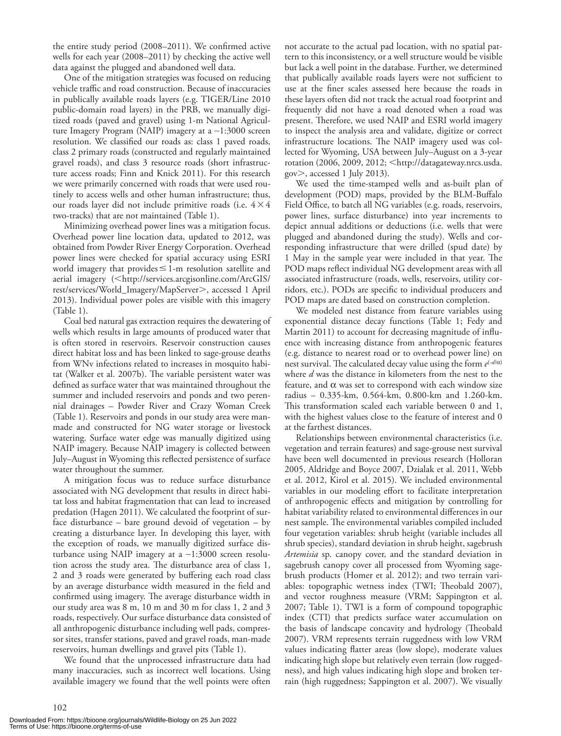the entire study period (2008-2011). We confirmed active wells for each year (2008-2011) by checking the active well data against the plugged and abandoned well data.

 One of the mitigation strategies was focused on reducing vehicle traffic and road construction. Because of inaccuracies in publically available roads layers (e.g. TIGER/Line 2010 public-domain road layers) in the PRB, we manually digitized roads (paved and gravel) using 1-m National Agriculture Imagery Program (NAIP) imagery at a ∼ 1:3000 screen resolution. We classified our roads as: class 1 paved roads, class 2 primary roads (constructed and regularly maintained gravel roads), and class 3 resource roads (short infrastructure access roads; Finn and Knick 2011). For this research we were primarily concerned with roads that were used routinely to access wells and other human infrastructure; thus, our roads layer did not include primitive roads (i.e.  $4 \times 4$ two-tracks) that are not maintained (Table 1).

 Minimizing overhead power lines was a mitigation focus. Overhead power line location data, updated to 2012, was obtained from Powder River Energy Corporation. Overhead power lines were checked for spatial accuracy using ESRI world imagery that provides  $\leq$  1-m resolution satellite and aerial imagery (<http://services.arcgisonline.com/ArcGIS/ rest/services/World\_Imagery/MapServer , accessed 1 April 2013). Individual power poles are visible with this imagery (Table 1).

 Coal bed natural gas extraction requires the dewatering of wells which results in large amounts of produced water that is often stored in reservoirs. Reservoir construction causes direct habitat loss and has been linked to sage-grouse deaths from WNv infections related to increases in mosquito habitat (Walker et al. 2007b). The variable persistent water was defined as surface water that was maintained throughout the summer and included reservoirs and ponds and two perennial drainages – Powder River and Crazy Woman Creek (Table 1). Reservoirs and ponds in our study area were manmade and constructed for NG water storage or livestock watering. Surface water edge was manually digitized using NAIP imagery. Because NAIP imagery is collected between July-August in Wyoming this reflected persistence of surface water throughout the summer.

 A mitigation focus was to reduce surface disturbance associated with NG development that results in direct habitat loss and habitat fragmentation that can lead to increased predation (Hagen 2011). We calculated the footprint of surface disturbance – bare ground devoid of vegetation – by creating a disturbance layer. In developing this layer, with the exception of roads, we manually digitized surface disturbance using NAIP imagery at a ∼ 1:3000 screen resolution across the study area. The disturbance area of class 1, 2 and 3 roads were generated by buffering each road class by an average disturbance width measured in the field and confirmed using imagery. The average disturbance width in our study area was 8 m, 10 m and 30 m for class 1, 2 and 3 roads, respectively. Our surface disturbance data consisted of all anthropogenic disturbance including well pads, compressor sites, transfer stations, paved and gravel roads, man-made reservoirs, human dwellings and gravel pits (Table 1).

 We found that the unprocessed infrastructure data had many inaccuracies, such as incorrect well locations. Using available imagery we found that the well points were often

not accurate to the actual pad location, with no spatial pattern to this inconsistency, or a well structure would be visible but lack a well point in the database. Further, we determined that publically available roads layers were not sufficient to use at the finer scales assessed here because the roads in these layers often did not track the actual road footprint and frequently did not have a road denoted when a road was present. Therefore, we used NAIP and ESRI world imagery to inspect the analysis area and validate, digitize or correct infrastructure locations. The NAIP imagery used was collected for Wyoming, USA between July-August on a 3-year rotation (2006, 2009, 2012; <http://datagateway.nrcs.usda. gov  $>$ , accessed 1 July 2013).

 We used the time-stamped wells and as-built plan of development (POD) maps, provided by the BLM-Buffalo Field Office, to batch all NG variables (e.g. roads, reservoirs, power lines, surface disturbance) into year increments to depict annual additions or deductions (i.e. wells that were plugged and abandoned during the study). Wells and corresponding infrastructure that were drilled (spud date) by 1 May in the sample year were included in that year. The POD maps reflect individual NG development areas with all associated infrastructure (roads, wells, reservoirs, utility corridors, etc.). PODs are specific to individual producers and POD maps are dated based on construction completion.

 We modeled nest distance from feature variables using exponential distance decay functions (Table 1; Fedy and Martin 2011) to account for decreasing magnitude of influence with increasing distance from anthropogenic features (e.g. distance to nearest road or to overhead power line) on nest survival. The calculated decay value using the form *e*(-d/α) where *d* was the distance in kilometers from the nest to the feature, and  $\alpha$  was set to correspond with each window size radius – 0.335-km, 0.564-km, 0.800-km and 1.260-km. This transformation scaled each variable between 0 and 1, with the highest values close to the feature of interest and 0 at the farthest distances.

 Relationships between environmental characteristics (i.e. vegetation and terrain features) and sage-grouse nest survival have been well documented in previous research (Holloran 2005, Aldridge and Boyce 2007, Dzialak et al. 2011, Webb et al. 2012, Kirol et al. 2015). We included environmental variables in our modeling effort to facilitate interpretation of anthropogenic effects and mitigation by controlling for habitat variability related to environmental differences in our nest sample. The environmental variables compiled included four vegetation variables: shrub height (variable includes all shrub species), standard deviation in shrub height, sagebrush *Artemisia* sp. canopy cover, and the standard deviation in sagebrush canopy cover all processed from Wyoming sagebrush products (Homer et al. 2012); and two terrain variables: topographic wetness index (TWI; Theobald 2007), and vector roughness measure (VRM; Sappington et al. 2007; Table 1). TWI is a form of compound topographic index (CTI) that predicts surface water accumulation on the basis of landscape concavity and hydrology (Theobald 2007). VRM represents terrain ruggedness with low VRM values indicating flatter areas (low slope), moderate values indicating high slope but relatively even terrain (low ruggedness), and high values indicating high slope and broken terrain (high ruggedness; Sappington et al. 2007). We visually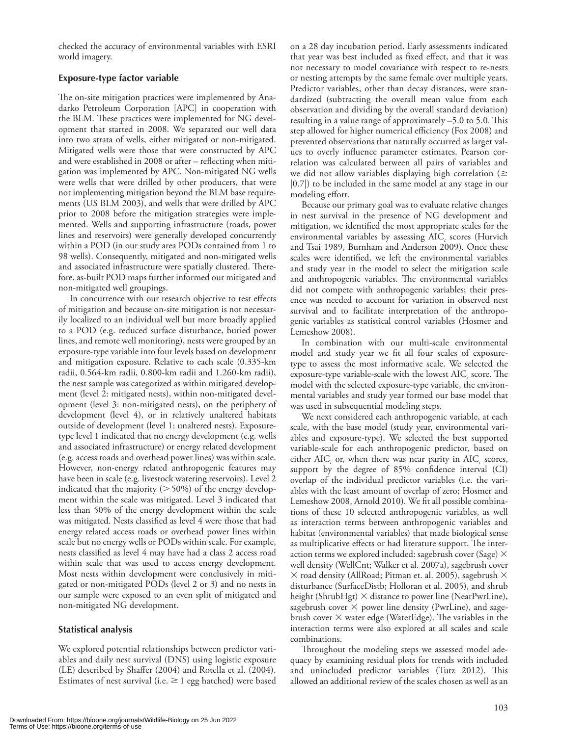checked the accuracy of environmental variables with ESRI world imagery.

#### **Exposure-type factor variable**

The on-site mitigation practices were implemented by Anadarko Petroleum Corporation [APC] in cooperation with the BLM. These practices were implemented for NG development that started in 2008. We separated our well data into two strata of wells, either mitigated or non-mitigated. Mitigated wells were those that were constructed by APC and were established in 2008 or after – reflecting when mitigation was implemented by APC. Non-mitigated NG wells were wells that were drilled by other producers, that were not implementing mitigation beyond the BLM base requirements (US BLM 2003), and wells that were drilled by APC prior to 2008 before the mitigation strategies were implemented. Wells and supporting infrastructure (roads, power lines and reservoirs) were generally developed concurrently within a POD (in our study area PODs contained from 1 to 98 wells). Consequently, mitigated and non-mitigated wells and associated infrastructure were spatially clustered. Therefore, as-built POD maps further informed our mitigated and non-mitigated well groupings.

In concurrence with our research objective to test effects of mitigation and because on-site mitigation is not necessarily localized to an individual well but more broadly applied to a POD (e.g. reduced surface disturbance, buried power lines, and remote well monitoring), nests were grouped by an exposure-type variable into four levels based on development and mitigation exposure. Relative to each scale (0.335-km radii, 0.564-km radii, 0.800-km radii and 1.260-km radii), the nest sample was categorized as within mitigated development (level 2: mitigated nests), within non-mitigated development (level 3: non-mitigated nests), on the periphery of development (level 4), or in relatively unaltered habitats outside of development (level 1: unaltered nests). Exposuretype level 1 indicated that no energy development (e.g. wells and associated infrastructure) or energy related development (e.g. access roads and overhead power lines) was within scale. However, non-energy related anthropogenic features may have been in scale (e.g. livestock watering reservoirs). Level 2 indicated that the majority  $($  > 50%) of the energy development within the scale was mitigated. Level 3 indicated that less than 50% of the energy development within the scale was mitigated. Nests classified as level 4 were those that had energy related access roads or overhead power lines within scale but no energy wells or PODs within scale. For example, nests classified as level 4 may have had a class 2 access road within scale that was used to access energy development. Most nests within development were conclusively in mitigated or non-mitigated PODs (level 2 or 3) and no nests in our sample were exposed to an even split of mitigated and non-mitigated NG development.

#### **Statistical analysis**

 We explored potential relationships between predictor variables and daily nest survival (DNS) using logistic exposure (LE) described by Shaffer (2004) and Rotella et al. (2004). Estimates of nest survival (i.e.  $\geq 1$  egg hatched) were based on a 28 day incubation period. Early assessments indicated that year was best included as fixed effect, and that it was not necessary to model covariance with respect to re-nests or nesting attempts by the same female over multiple years. Predictor variables, other than decay distances, were standardized (subtracting the overall mean value from each observation and dividing by the overall standard deviation) resulting in a value range of approximately  $-5.0$  to 5.0. This step allowed for higher numerical efficiency (Fox 2008) and prevented observations that naturally occurred as larger values to overly influence parameter estimates. Pearson correlation was calculated between all pairs of variables and we did not allow variables displaying high correlation  $(\geq$ |0.7|) to be included in the same model at any stage in our modeling effort.

 Because our primary goal was to evaluate relative changes in nest survival in the presence of NG development and mitigation, we identified the most appropriate scales for the environmental variables by assessing AIC<sub>c</sub> scores (Hurvich and Tsai 1989, Burnham and Anderson 2009). Once these scales were identified, we left the environmental variables and study year in the model to select the mitigation scale and anthropogenic variables. The environmental variables did not compete with anthropogenic variables; their presence was needed to account for variation in observed nest survival and to facilitate interpretation of the anthropogenic variables as statistical control variables (Hosmer and Lemeshow 2008).

 In combination with our multi-scale environmental model and study year we fit all four scales of exposuretype to assess the most informative scale. We selected the exposure-type variable-scale with the lowest AIC<sub>c</sub> score. The model with the selected exposure-type variable, the environmental variables and study year formed our base model that was used in subsequential modeling steps.

 We next considered each anthropogenic variable, at each scale, with the base model (study year, environmental variables and exposure-type). We selected the best supported variable-scale for each anthropogenic predictor, based on either  $AIC_c$  or, when there was near parity in  $AIC_c$  scores, support by the degree of 85% confidence interval (CI) overlap of the individual predictor variables (i.e. the variables with the least amount of overlap of zero; Hosmer and Lemeshow 2008, Arnold 2010). We fit all possible combinations of these 10 selected anthropogenic variables, as well as interaction terms between anthropogenic variables and habitat (environmental variables) that made biological sense as multiplicative effects or had literature support. The interaction terms we explored included: sagebrush cover (Sage)  $\times$ well density (WellCnt; Walker et al. 2007a), sagebrush cover  $\times$  road density (AllRoad; Pitman et. al. 2005), sagebrush  $\times$ disturbance (SurfaceDistb; Holloran et al. 2005), and shrub height (ShrubHgt)  $\times$  distance to power line (NearPwrLine), sagebrush cover  $\times$  power line density (PwrLine), and sagebrush cover  $\times$  water edge (WaterEdge). The variables in the interaction terms were also explored at all scales and scale combinations.

Throughout the modeling steps we assessed model adequacy by examining residual plots for trends with included and unincluded predictor variables (Tutz 2012). This allowed an additional review of the scales chosen as well as an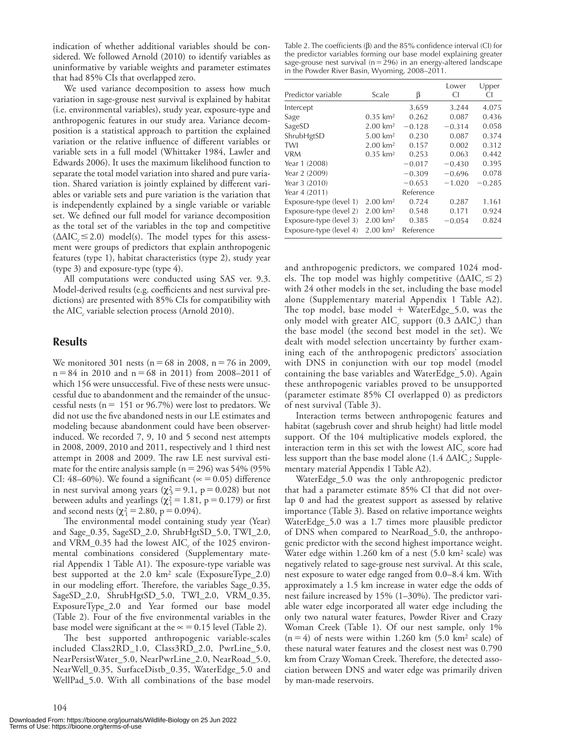indication of whether additional variables should be considered. We followed Arnold (2010) to identify variables as uninformative by variable weights and parameter estimates that had 85% CIs that overlapped zero.

 We used variance decomposition to assess how much variation in sage-grouse nest survival is explained by habitat (i.e. environmental variables), study year, exposure-type and anthropogenic features in our study area. Variance decomposition is a statistical approach to partition the explained variation or the relative influence of different variables or variable sets in a full model (Whittaker 1984, Lawler and Edwards 2006). It uses the maximum likelihood function to separate the total model variation into shared and pure variation. Shared variation is jointly explained by different variables or variable sets and pure variation is the variation that is independently explained by a single variable or variable set. We defined our full model for variance decomposition as the total set of the variables in the top and competitive  $( \Delta AIC_c \leq 2.0) \text{ model(s).}$  The model types for this assessment were groups of predictors that explain anthropogenic features (type 1), habitat characteristics (type 2), study year (type 3) and exposure-type (type 4).

 All computations were conducted using SAS ver. 9.3. Model-derived results (e.g. coefficients and nest survival predictions) are presented with 85% CIs for compatibility with the AIC<sub>c</sub> variable selection process (Arnold 2010).

## **Results**

We monitored 301 nests ( $n = 68$  in 2008,  $n = 76$  in 2009,  $n = 84$  in 2010 and  $n = 68$  in 2011) from 2008–2011 of which 156 were unsuccessful. Five of these nests were unsuccessful due to abandonment and the remainder of the unsuccessful nests ( $n = 151$  or 96.7%) were lost to predators. We did not use the five abandoned nests in our LE estimates and modeling because abandonment could have been observerinduced. We recorded 7, 9, 10 and 5 second nest attempts in 2008, 2009, 2010 and 2011, respectively and 1 third nest attempt in 2008 and 2009. The raw LE nest survival estimate for the entire analysis sample ( $n = 296$ ) was 54% (95%) CI: 48–60%). We found a significant ( $\approx$  = 0.05) difference in nest survival among years ( $\chi^2$ <sub>3</sub> = 9.1, p = 0.028) but not between adults and yearlings ( $\chi^2 = 1.81$ , p = 0.179) or first and second nests ( $\chi^2$  = 2.80, p = 0.094).

The environmental model containing study year (Year) and Sage\_0.35, SageSD\_2.0, ShrubHgtSD\_5.0, TWI\_2.0, and VRM\_0.35 had the lowest AIC<sub>c</sub> of the 1025 environmental combinations considered (Supplementary material Appendix 1 Table A1). The exposure-type variable was best supported at the  $2.0 \text{ km}^2$  scale (ExposureType\_2.0) in our modeling effort. Therefore, the variables Sage\_0.35, SageSD\_2.0, ShrubHgtSD\_5.0, TWI\_2.0, VRM\_0.35, ExposureType\_2.0 and Year formed our base model (Table 2). Four of the five environmental variables in the base model were significant at the  $\approx$  = 0.15 level (Table 2).

The best supported anthropogenic variable-scales included Class2RD\_1.0, Class3RD\_2.0, PwrLine\_5.0, NearPersistWater\_5.0, NearPwrLine\_2.0, NearRoad\_5.0, NearWell\_0.35, SurfaceDistb\_0.35, WaterEdge\_5.0 and WellPad\_5.0. With all combinations of the base model

Table 2. The coefficients  $(\beta)$  and the 85% confidence interval (CI) for the predictor variables forming our base model explaining greater sage-grouse nest survival ( $n = 296$ ) in an energy-altered landscape in the Powder River Basin, Wyoming, 2008-2011.

| Predictor variable      | Scale                 | β         | Lower<br>СI | Upper<br>CI |
|-------------------------|-----------------------|-----------|-------------|-------------|
| Intercept               |                       | 3.659     | 3.244       | 4.075       |
| Sage                    | $0.35 \; \text{km}^2$ | 0.262     | 0.087       | 0.436       |
| SageSD                  | $2.00 \text{ km}^2$   | $-0.128$  | $-0.314$    | 0.058       |
| ShrubHgtSD              | $5.00 \text{ km}^2$   | 0.230     | 0.087       | 0.374       |
| TWI                     | $2.00 \text{ km}^2$   | 0.157     | 0.002       | 0.312       |
| <b>VRM</b>              | $0.35 \; \text{km}^2$ | 0.253     | 0.063       | 0.442       |
| Year 1 (2008)           |                       | $-0.017$  | $-0.430$    | 0.395       |
| Year 2 (2009)           |                       | $-0.309$  | $-0.696$    | 0.078       |
| Year 3 (2010)           |                       | $-0.653$  | $-1.020$    | $-0.285$    |
| Year 4 (2011)           |                       | Reference |             |             |
| Exposure-type (level 1) | $2.00 \text{ km}^2$   | 0.724     | 0.287       | 1.161       |
| Exposure-type (level 2) | $2.00 \text{ km}^2$   | 0.548     | 0.171       | 0.924       |
| Exposure-type (level 3) | $2.00 \text{ km}^2$   | 0.385     | $-0.054$    | 0.824       |
| Exposure-type (level 4) | $2.00 \text{ km}^2$   | Reference |             |             |

and anthropogenic predictors, we compared 1024 models. The top model was highly competitive  $(\Delta AIC_{c} \leq 2)$ with 24 other models in the set, including the base model alone (Supplementary material Appendix 1 Table A2). The top model, base model  $+$  WaterEdge\_5.0, was the only model with greater  $AIC_c$  support (0.3  $\triangle AIC_c$ ) than the base model (the second best model in the set). We dealt with model selection uncertainty by further examining each of the anthropogenic predictors' association with DNS in conjunction with our top model (model containing the base variables and WaterEdge\_5.0). Again these anthropogenic variables proved to be unsupported (parameter estimate 85% CI overlapped 0) as predictors of nest survival (Table 3).

 Interaction terms between anthropogenic features and habitat (sagebrush cover and shrub height) had little model support. Of the 104 multiplicative models explored, the interaction term in this set with the lowest  $AIC_c$  score had less support than the base model alone  $(1.4 \text{ }\Delta \text{AIC}_c)$ ; Supplementary material Appendix 1 Table A2).

 WaterEdge\_5.0 was the only anthropogenic predictor that had a parameter estimate 85% CI that did not overlap 0 and had the greatest support as assessed by relative importance (Table 3). Based on relative importance weights WaterEdge\_5.0 was a 1.7 times more plausible predictor of DNS when compared to NearRoad\_5.0, the anthropogenic predictor with the second highest importance weight. Water edge within  $1.260 \text{ km of a nest } (5.0 \text{ km}^2 \text{ scale})$  was negatively related to sage-grouse nest survival. At this scale, nest exposure to water edge ranged from 0.0-8.4 km. With approximately a 1.5 km increase in water edge the odds of nest failure increased by  $15\%$  (1-30%). The predictor variable water edge incorporated all water edge including the only two natural water features, Powder River and Crazy Woman Creek (Table 1). Of our nest sample, only 1%  $(n = 4)$  of nests were within 1.260 km  $(5.0 \text{ km}^2 \text{ scale})$  of these natural water features and the closest nest was 0.790 km from Crazy Woman Creek. Therefore, the detected association between DNS and water edge was primarily driven by man-made reservoirs.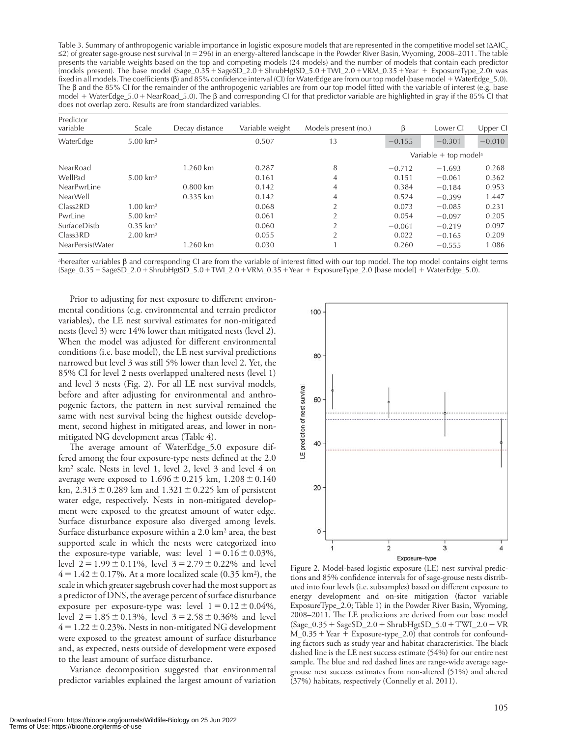Table 3. Summary of anthropogenic variable importance in logistic exposure models that are represented in the competitive model set ( Δ AIC *<sup>c</sup>*  $\leq$ 2) of greater sage-grouse nest survival (n = 296) in an energy-altered landscape in the Powder River Basin, Wyoming, 2008–2011. The table presents the variable weights based on the top and competing models (24 models) and the number of models that contain each predictor (models present). The base model  $(Sage_0.35 + SageSD_2.0 + ShrubHgtSD_5.0 + TWl_2.0 + VRM_0.35 + Year + ExposureType_2.0)$  was fixed in all models. The coefficients (β) and 85% confidence interval (CI) for WaterEdge are from our top model (base model + WaterEdge\_5.0). The  $\beta$  and the 85% CI for the remainder of the anthropogenic variables are from our top model fitted with the variable of interest (e.g. base model + WaterEdge\_5.0 + NearRoad\_5.0). The β and corresponding CI for that predictor variable are highlighted in gray if the 85% CI that does not overlap zero. Results are from standardized variables.

| Predictor<br>variable | Scale                  | Decay distance         | Variable weight | Models present (no.) | ß        | Lower CI                          | Upper CI |
|-----------------------|------------------------|------------------------|-----------------|----------------------|----------|-----------------------------------|----------|
| WaterEdge             | $5.00 \text{ km}^2$    |                        | 0.507           | 13                   | $-0.155$ | $-0.301$                          | $-0.010$ |
|                       |                        |                        |                 |                      |          | Variable + top model <sup>a</sup> |          |
| NearRoad              |                        | 1.260 km               | 0.287           | 8                    | $-0.712$ | $-1.693$                          | 0.268    |
| WellPad               | $5.00 \text{ km}^2$    |                        | 0.161           | 4                    | 0.151    | $-0.061$                          | 0.362    |
| NearPwrLine           |                        | $0.800 \; \mathrm{km}$ | 0.142           | 4                    | 0.384    | $-0.184$                          | 0.953    |
| <b>NearWell</b>       |                        | $0.335$ km             | 0.142           | 4                    | 0.524    | $-0.399$                          | 1.447    |
| Class2RD              | $1.00 \text{ km}^2$    |                        | 0.068           | 2                    | 0.073    | $-0.085$                          | 0.231    |
| PwrLine               | $5.00 \text{ km}^2$    |                        | 0.061           | $\mathcal{L}$        | 0.054    | $-0.097$                          | 0.205    |
| SurfaceDistb          | $0.35$ km <sup>2</sup> |                        | 0.060           | 2                    | $-0.061$ | $-0.219$                          | 0.097    |
| Class3RD              | $2.00 \text{ km}^2$    |                        | 0.055           | $\mathcal{L}$        | 0.022    | $-0.165$                          | 0.209    |
| NearPersistWater      |                        | 1.260 km               | 0.030           |                      | 0.260    | $-0.555$                          | 1.086    |

ahereafter variables β and corresponding CI are from the variable of interest fitted with our top model. The top model contains eight terms  $(Sage_0.35 + SageSD_2.0 + ShrubHgSD_5.0 + TWI_2.0 + VRM_0.35 + Year + ExposureType_2.0 [base model] + WaterEdge_5.0).$ 

100

Prior to adjusting for nest exposure to different environmental conditions (e.g. environmental and terrain predictor variables), the LE nest survival estimates for non-mitigated nests (level 3) were 14% lower than mitigated nests (level 2). When the model was adjusted for different environmental conditions (i.e. base model), the LE nest survival predictions narrowed but level 3 was still 5% lower than level 2. Yet, the 85% CI for level 2 nests overlapped unaltered nests (level 1) and level 3 nests (Fig. 2). For all LE nest survival models, before and after adjusting for environmental and anthropogenic factors, the pattern in nest survival remained the same with nest survival being the highest outside development, second highest in mitigated areas, and lower in nonmitigated NG development areas (Table 4).

The average amount of WaterEdge\_5.0 exposure differed among the four exposure-type nests defined at the 2.0 km<sup>2</sup> scale. Nests in level 1, level 2, level 3 and level 4 on average were exposed to  $1.696 \pm 0.215$  km,  $1.208 \pm 0.140$  $km, 2.313 \pm 0.289$  km and  $1.321 \pm 0.225$  km of persistent water edge, respectively. Nests in non-mitigated development were exposed to the greatest amount of water edge. Surface disturbance exposure also diverged among levels. Surface disturbance exposure within a 2.0 km<sup>2</sup> area, the best supported scale in which the nests were categorized into the exposure-type variable, was: level  $1 = 0.16 \pm 0.03\%$ , level  $2 = 1.99 \pm 0.11\%$ , level  $3 = 2.79 \pm 0.22\%$  and level  $4 = 1.42 \pm 0.17$ %. At a more localized scale (0.35 km<sup>2</sup>), the scale in which greater sagebrush cover had the most support as a predictor of DNS, the average percent of surface disturbance exposure per exposure-type was: level  $1 = 0.12 \pm 0.04\%$ , level  $2 = 1.85 \pm 0.13\%$ , level  $3 = 2.58 \pm 0.36\%$  and level  $4 = 1.22 \pm 0.23$ %. Nests in non-mitigated NG development were exposed to the greatest amount of surface disturbance and, as expected, nests outside of development were exposed to the least amount of surface disturbance.

 Variance decomposition suggested that environmental predictor variables explained the largest amount of variation



energy development and on-site mitigation (factor variable ExposureType\_2.0; Table 1) in the Powder River Basin, Wyoming, 2008-2011. The LE predictions are derived from our base model  $(Sage_0.35 + SageSD_2.0 + ShrubHgtSD_5.0 + TWI_2.0 + VR$  $M_0.35 + Year + Exposure-type_2.0$  that controls for confounding factors such as study year and habitat characteristics. The black dashed line is the LE nest success estimate (54%) for our entire nest sample. The blue and red dashed lines are range-wide average sagegrouse nest success estimates from non-altered (51%) and altered (37%) habitats, respectively (Connelly et al. 2011).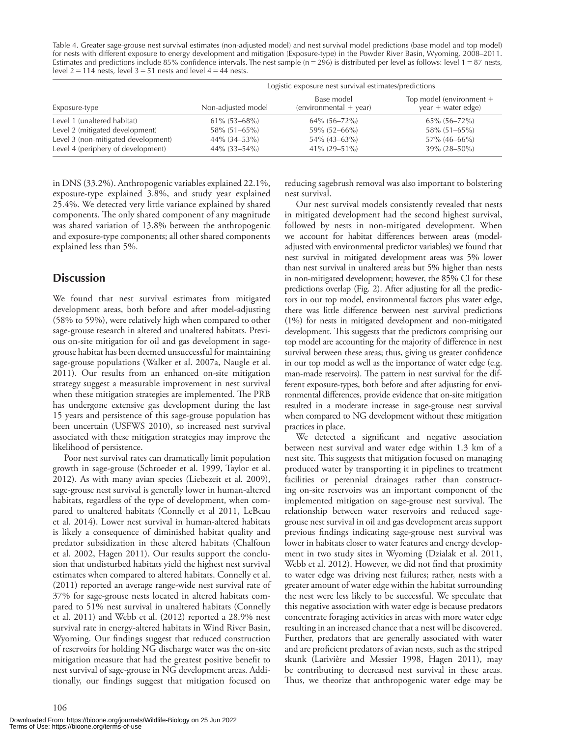Table 4. Greater sage-grouse nest survival estimates (non-adjusted model) and nest survival model predictions (base model and top model) for nests with different exposure to energy development and mitigation (Exposure-type) in the Powder River Basin, Wyoming, 2008– 2011. Estimates and predictions include 85% confidence intervals. The nest sample  $(n = 296)$  is distributed per level as follows: level  $1 = 87$  nests, level  $2 = 114$  nests, level  $3 = 51$  nests and level  $4 = 44$  nests.

|                                     | Logistic exposure nest survival estimates/predictions |                                                                                                        |                    |  |  |
|-------------------------------------|-------------------------------------------------------|--------------------------------------------------------------------------------------------------------|--------------------|--|--|
| Exposure-type                       | Non-adjusted model                                    | Top model (environment +<br>Base model<br>$\frac{1}{2}$ (environmental + year)<br>$year + water edge)$ |                    |  |  |
| Level 1 (unaltered habitat)         | $61\%$ (53–68%)                                       | $64\%$ $(56-72\%)$                                                                                     | $65\%$ (56-72%)    |  |  |
| Level 2 (mitigated development)     | $58\%$ (51–65%)                                       | $59\%$ (52–66%)                                                                                        | $58\%$ (51–65%)    |  |  |
| Level 3 (non-mitigated development) | $44\%$ (34–53%)                                       | $54\%$ (43–63%)                                                                                        | $57\%$ (46-66%)    |  |  |
| Level 4 (periphery of development)  | $44\%$ (33–54%)                                       | $41\% (29 - 51\%)$                                                                                     | $39\% (28 - 50\%)$ |  |  |

in DNS (33.2%). Anthropogenic variables explained 22.1%, exposure-type explained 3.8%, and study year explained 25.4%. We detected very little variance explained by shared components. The only shared component of any magnitude was shared variation of 13.8% between the anthropogenic and exposure-type components; all other shared components explained less than 5%.

## **Discussion**

 We found that nest survival estimates from mitigated development areas, both before and after model-adjusting (58% to 59%), were relatively high when compared to other sage-grouse research in altered and unaltered habitats. Previous on-site mitigation for oil and gas development in sagegrouse habitat has been deemed unsuccessful for maintaining sage-grouse populations (Walker et al. 2007a, Naugle et al. 2011). Our results from an enhanced on-site mitigation strategy suggest a measurable improvement in nest survival when these mitigation strategies are implemented. The PRB has undergone extensive gas development during the last 15 years and persistence of this sage-grouse population has been uncertain (USFWS 2010), so increased nest survival associated with these mitigation strategies may improve the likelihood of persistence.

 Poor nest survival rates can dramatically limit population growth in sage-grouse (Schroeder et al. 1999, Taylor et al. 2012). As with many avian species (Liebezeit et al. 2009), sage-grouse nest survival is generally lower in human-altered habitats, regardless of the type of development, when compared to unaltered habitats (Connelly et al 2011, LeBeau et al. 2014). Lower nest survival in human-altered habitats is likely a consequence of diminished habitat quality and predator subsidization in these altered habitats (Chalfoun et al. 2002, Hagen 2011). Our results support the conclusion that undisturbed habitats yield the highest nest survival estimates when compared to altered habitats. Connelly et al. (2011) reported an average range-wide nest survival rate of 37% for sage-grouse nests located in altered habitats compared to 51% nest survival in unaltered habitats (Connelly et al. 2011) and Webb et al. (2012) reported a 28.9% nest survival rate in energy-altered habitats in Wind River Basin, Wyoming. Our findings suggest that reduced construction of reservoirs for holding NG discharge water was the on-site mitigation measure that had the greatest positive benefit to nest survival of sage-grouse in NG development areas. Additionally, our findings suggest that mitigation focused on

reducing sagebrush removal was also important to bolstering nest survival.

 Our nest survival models consistently revealed that nests in mitigated development had the second highest survival, followed by nests in non-mitigated development. When we account for habitat differences between areas (modeladjusted with environmental predictor variables) we found that nest survival in mitigated development areas was 5% lower than nest survival in unaltered areas but 5% higher than nests in non-mitigated development; however, the 85% CI for these predictions overlap (Fig. 2). After adjusting for all the predictors in our top model, environmental factors plus water edge, there was little difference between nest survival predictions (1%) for nests in mitigated development and non-mitigated development. This suggests that the predictors comprising our top model are accounting for the majority of difference in nest survival between these areas; thus, giving us greater confidence in our top model as well as the importance of water edge (e.g. man-made reservoirs). The pattern in nest survival for the different exposure-types, both before and after adjusting for environmental differences, provide evidence that on-site mitigation resulted in a moderate increase in sage-grouse nest survival when compared to NG development without these mitigation practices in place.

We detected a significant and negative association between nest survival and water edge within 1.3 km of a nest site. This suggests that mitigation focused on managing produced water by transporting it in pipelines to treatment facilities or perennial drainages rather than constructing on-site reservoirs was an important component of the implemented mitigation on sage-grouse nest survival. The relationship between water reservoirs and reduced sagegrouse nest survival in oil and gas development areas support previous findings indicating sage-grouse nest survival was lower in habitats closer to water features and energy development in two study sites in Wyoming (Dzialak et al. 2011, Webb et al. 2012). However, we did not find that proximity to water edge was driving nest failures; rather, nests with a greater amount of water edge within the habitat surrounding the nest were less likely to be successful. We speculate that this negative association with water edge is because predators concentrate foraging activities in areas with more water edge resulting in an increased chance that a nest will be discovered. Further, predators that are generally associated with water and are proficient predators of avian nests, such as the striped skunk (Larivière and Messier 1998, Hagen 2011), may be contributing to decreased nest survival in these areas. Thus, we theorize that anthropogenic water edge may be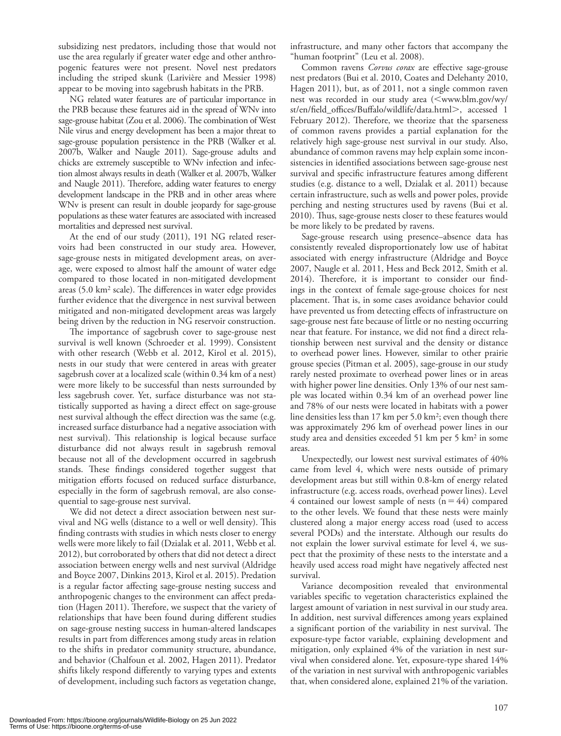subsidizing nest predators, including those that would not use the area regularly if greater water edge and other anthropogenic features were not present. Novel nest predators including the striped skunk (Larivière and Messier 1998) appear to be moving into sagebrush habitats in the PRB.

 NG related water features are of particular importance in the PRB because these features aid in the spread of WNv into sage-grouse habitat (Zou et al. 2006). The combination of West Nile virus and energy development has been a major threat to sage-grouse population persistence in the PRB (Walker et al. 2007b, Walker and Naugle 2011). Sage-grouse adults and chicks are extremely susceptible to WNv infection and infection almost always results in death (Walker et al. 2007b, Walker and Naugle 2011). Therefore, adding water features to energy development landscape in the PRB and in other areas where WNv is present can result in double jeopardy for sage-grouse populations as these water features are associated with increased mortalities and depressed nest survival.

 At the end of our study (2011), 191 NG related reservoirs had been constructed in our study area. However, sage-grouse nests in mitigated development areas, on average, were exposed to almost half the amount of water edge compared to those located in non-mitigated development areas  $(5.0 \text{ km}^2 \text{ scale})$ . The differences in water edge provides further evidence that the divergence in nest survival between mitigated and non-mitigated development areas was largely being driven by the reduction in NG reservoir construction.

The importance of sagebrush cover to sage-grouse nest survival is well known (Schroeder et al. 1999). Consistent with other research (Webb et al. 2012, Kirol et al. 2015), nests in our study that were centered in areas with greater sagebrush cover at a localized scale (within 0.34 km of a nest) were more likely to be successful than nests surrounded by less sagebrush cover. Yet, surface disturbance was not statistically supported as having a direct effect on sage-grouse nest survival although the effect direction was the same (e.g. increased surface disturbance had a negative association with nest survival). This relationship is logical because surface disturbance did not always result in sagebrush removal because not all of the development occurred in sagebrush stands. These findings considered together suggest that mitigation efforts focused on reduced surface disturbance, especially in the form of sagebrush removal, are also consequential to sage-grouse nest survival.

 We did not detect a direct association between nest survival and NG wells (distance to a well or well density). This finding contrasts with studies in which nests closer to energy wells were more likely to fail (Dzialak et al. 2011, Webb et al. 2012), but corroborated by others that did not detect a direct association between energy wells and nest survival (Aldridge and Boyce 2007, Dinkins 2013, Kirol et al. 2015). Predation is a regular factor affecting sage-grouse nesting success and anthropogenic changes to the environment can affect predation (Hagen 2011). Therefore, we suspect that the variety of relationships that have been found during different studies on sage-grouse nesting success in human-altered landscapes results in part from differences among study areas in relation to the shifts in predator community structure, abundance, and behavior (Chalfoun et al. 2002, Hagen 2011). Predator shifts likely respond differently to varying types and extents of development, including such factors as vegetation change, infrastructure, and many other factors that accompany the "human footprint" (Leu et al. 2008).

Common ravens *Corvus corax* are effective sage-grouse nest predators (Bui et al. 2010, Coates and Delehanty 2010, Hagen 2011), but, as of 2011, not a single common raven nest was recorded in our study area (<www.blm.gov/wy/ st/en/field offices/Buffalo/wildlife/data.html>, accessed 1 February 2012). Therefore, we theorize that the sparseness of common ravens provides a partial explanation for the relatively high sage-grouse nest survival in our study. Also, abundance of common ravens may help explain some inconsistencies in identified associations between sage-grouse nest survival and specific infrastructure features among different studies (e.g. distance to a well, Dzialak et al. 2011) because certain infrastructure, such as wells and power poles, provide perching and nesting structures used by ravens (Bui et al. 2010). Thus, sage-grouse nests closer to these features would be more likely to be predated by ravens.

Sage-grouse research using presence-absence data has consistently revealed disproportionately low use of habitat associated with energy infrastructure (Aldridge and Boyce 2007, Naugle et al. 2011, Hess and Beck 2012, Smith et al. 2014). Therefore, it is important to consider our findings in the context of female sage-grouse choices for nest placement. That is, in some cases avoidance behavior could have prevented us from detecting effects of infrastructure on sage-grouse nest fate because of little or no nesting occurring near that feature. For instance, we did not find a direct relationship between nest survival and the density or distance to overhead power lines. However, similar to other prairie grouse species (Pitman et al. 2005), sage-grouse in our study rarely nested proximate to overhead power lines or in areas with higher power line densities. Only 13% of our nest sample was located within 0.34 km of an overhead power line and 78% of our nests were located in habitats with a power line densities less than  $17 \text{ km}$  per  $5.0 \text{ km}^2$ ; even though there was approximately 296 km of overhead power lines in our study area and densities exceeded 51 km per 5  $km<sup>2</sup>$  in some areas.

 Unexpectedly, our lowest nest survival estimates of 40% came from level 4, which were nests outside of primary development areas but still within 0.8-km of energy related infrastructure (e.g. access roads, overhead power lines). Level 4 contained our lowest sample of nests  $(n = 44)$  compared to the other levels. We found that these nests were mainly clustered along a major energy access road (used to access several PODs) and the interstate. Although our results do not explain the lower survival estimate for level 4, we suspect that the proximity of these nests to the interstate and a heavily used access road might have negatively affected nest survival.

 Variance decomposition revealed that environmental variables specific to vegetation characteristics explained the largest amount of variation in nest survival in our study area. In addition, nest survival differences among years explained a significant portion of the variability in nest survival. The exposure-type factor variable, explaining development and mitigation, only explained 4% of the variation in nest survival when considered alone. Yet, exposure-type shared 14% of the variation in nest survival with anthropogenic variables that, when considered alone, explained 21% of the variation.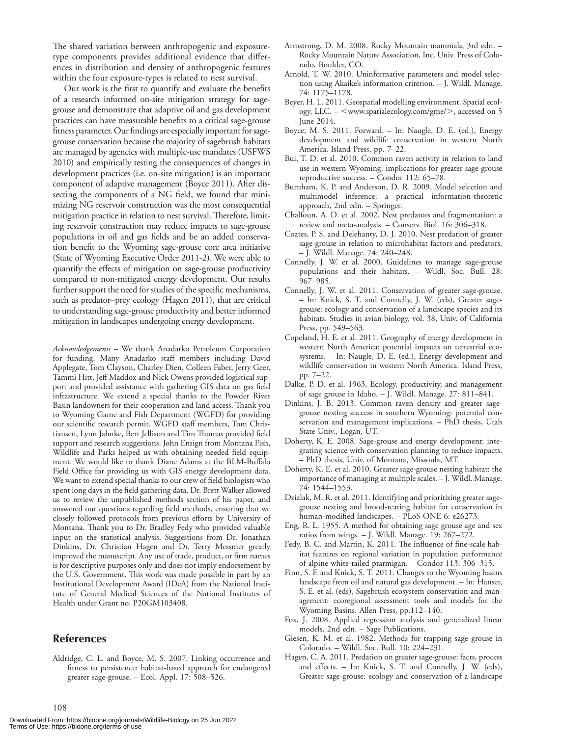The shared variation between anthropogenic and exposuretype components provides additional evidence that differences in distribution and density of anthropogenic features within the four exposure-types is related to nest survival.

Our work is the first to quantify and evaluate the benefits of a research informed on-site mitigation strategy for sagegrouse and demonstrate that adaptive oil and gas development practices can have measurable benefits to a critical sage-grouse fitness parameter. Our findings are especially important for sagegrouse conservation because the majority of sagebrush habitats are managed by agencies with multiple-use mandates (USFWS 2010) and empirically testing the consequences of changes in development practices (i.e. on-site mitigation) is an important component of adaptive management (Boyce 2011). After dissecting the components of a NG field, we found that minimizing NG reservoir construction was the most consequential mitigation practice in relation to nest survival. Therefore, limiting reservoir construction may reduce impacts to sage-grouse populations in oil and gas fields and be an added conservation benefit to the Wyoming sage-grouse core area initiative (State of Wyoming Executive Order 2011-2). We were able to quantify the effects of mitigation on sage-grouse productivity compared to non-mitigated energy development. Our results further support the need for studies of the specific mechanisms, such as predator-prey ecology (Hagen 2011), that are critical to understanding sage-grouse productivity and better informed mitigation in landscapes undergoing energy development.

 *Acknowledgements –* We thank Anadarko Petroleum Corporation for funding. Many Anadarko staff members including David Applegate, Tom Clayson, Charley Dien, Colleen Faber, Jerry Geer, Tammi Hitt, Jeff Maddox and Nick Owens provided logistical support and provided assistance with gathering GIS data on gas field infrastructure. We extend a special thanks to the Powder River Basin landowners for their cooperation and land access. Thank you to Wyoming Game and Fish Department (WGFD) for providing our scientific research permit. WGFD staff members, Tom Christiansen, Lynn Jahnke, Bert Jellison and Tim Thomas provided field support and research suggestions. John Ensign from Montana Fish, Wildlife and Parks helped us with obtaining needed field equipment. We would like to thank Diane Adams at the BLM-Buffalo Field Office for providing us with GIS energy development data. We want to extend special thanks to our crew of field biologists who spent long days in the field gathering data. Dr. Brett Walker allowed us to review the unpublished methods section of his paper, and answered our questions regarding field methods, ensuring that we closely followed protocols from previous efforts by University of Montana. Thank you to Dr. Bradley Fedy who provided valuable input on the statistical analysis. Suggestions from Dr. Jonathan Dinkins, Dr. Christian Hagen and Dr. Terry Messmer greatly improved the manuscript. Any use of trade, product, or firm names is for descriptive purposes only and does not imply endorsement by the U.S. Government. This work was made possible in part by an Institutional Development Award (IDeA) from the National Institute of General Medical Sciences of the National Institutes of Health under Grant no. P20GM103408.

#### **References**

108

 Aldridge, C. L. and Boyce, M. S. 2007. Linking occurrence and fitness to persistence: habitat-based approach for endangered greater sage-grouse. - Ecol. Appl. 17: 508-526.

- Armstrong, D. M. 2008. Rocky Mountain mammals, 3rd edn. Rocky Mountain Nature Association, Inc. Univ. Press of Colorado, Boulder, CO.
- Arnold, T. W. 2010. Uninformative parameters and model selection using Akaike's information criterion. - J. Wildl. Manage. 74: 1175 – 1178.
- Beyer, H. L. 2011. Geospatial modelling environment. Spatial ecology, LLC. - <www.spatialecology.com/gme/>, accessed on 5 June 2014.
- Boyce, M. S. 2011. Forward. In: Naugle, D. E. (ed.), Energy development and wildlife conservation in western North America. Island Press, pp. 7-22.
- Bui, T. D. et al. 2010. Common raven activity in relation to land use in western Wyoming: implications for greater sage-grouse reproductive success. – Condor 112: 65–78.
- Burnham, K. P. and Anderson, D. R. 2009. Model selection and multimodel inference: a practical information-theoretic approach, 2nd edn. – Springer.
- Chalfoun, A. D. et al. 2002. Nest predators and fragmentation: a review and meta-analysis. - Conserv. Biol. 16: 306-318.
- Coates, P. S. and Delehanty, D. J. 2010. Nest predation of greater sage-grouse in relation to microhabitat factors and predators.  $-$  J. Wildl. Manage. 74: 240–248.
- Connelly, J. W. et al. 2000. Guidelines to manage sage-grouse populations and their habitats. – Wildl. Soc. Bull. 28: 967-985.
- Connelly, J. W. et al. 2011. Conservation of greater sage-grouse. – In: Knick, S. T. and Connelly, J. W. (eds), Greater sagegrouse: ecology and conservation of a landscape species and its habitats. Studies in avian biology, vol. 38, Univ. of California Press, pp. 549–563.
- Copeland, H. E. et al. 2011. Geography of energy development in western North America: potential impacts on terrestrial ecosystems. – In: Naugle, D. E. (ed.), Energy development and wildlife conservation in western North America. Island Press, pp. 7-22.
- Dalke, P. D. et al. 1963. Ecology, productivity, and management of sage grouse in Idaho. - J. Wildl. Manage. 27: 811-841.
- Dinkins, J. B. 2013. Common raven density and greater sagegrouse nesting success in southern Wyoming: potential conservation and management implications. – PhD thesis, Utah State Univ., Logan, UT.
- Doherty, K. E. 2008. Sage-grouse and energy development: integrating science with conservation planning to reduce impacts. – PhD thesis, Univ. of Montana, Missoula, MT.
- Doherty, K. E. et al. 2010. Greater sage-grouse nesting habitat: the importance of managing at multiple scales. – J. Wildl. Manage. 74: 1544-1553.
- Dzialak, M. R. et al. 2011. Identifying and prioritizing greater sagegrouse nesting and brood-rearing habitat for conservation in human-modified landscapes. - PLoS ONE 6: e26273.
- Eng, R. L. 1955. A method for obtaining sage grouse age and sex ratios from wings. - J. Wildl. Manage. 19: 267-272.
- Fedy, B. C. and Martin, K. 2011. The influence of fine-scale habitat features on regional variation in population performance of alpine white-tailed ptarmigan. - Condor 113: 306-315.
- Finn, S. F. and Knick, S. T. 2011. Changes to the Wyoming basins landscape from oil and natural gas development. – In: Hanser, S. E. et al. (eds), Sagebrush ecosystem conservation and management: ecoregional assessment tools and models for the Wyoming Basins. Allen Press, pp.112-140.
- Fox, J. 2008. Applied regression analysis and generalized linear models, 2nd edn. – Sage Publications.
- Giesen, K. M. et al. 1982. Methods for trapping sage grouse in Colorado. - Wildl. Soc. Bull. 10: 224-231.
- Hagen, C. A. 2011. Predation on greater sage-grouse: facts, process and effects. - In: Knick, S. T. and Connelly, J. W. (eds), Greater sage-grouse: ecology and conservation of a landscape